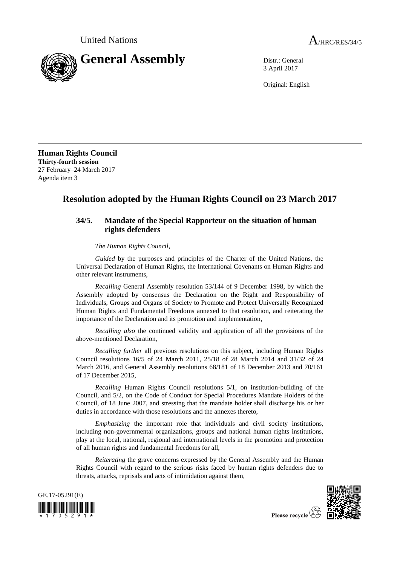

3 April 2017

Original: English

**Human Rights Council Thirty-fourth session** 27 February–24 March 2017 Agenda item 3

## **Resolution adopted by the Human Rights Council on 23 March 2017**

## **34/5. Mandate of the Special Rapporteur on the situation of human rights defenders**

## *The Human Rights Council*,

*Guided* by the purposes and principles of the Charter of the United Nations, the Universal Declaration of Human Rights, the International Covenants on Human Rights and other relevant instruments,

*Recalling* General Assembly resolution 53/144 of 9 December 1998, by which the Assembly adopted by consensus the Declaration on the Right and Responsibility of Individuals, Groups and Organs of Society to Promote and Protect Universally Recognized Human Rights and Fundamental Freedoms annexed to that resolution, and reiterating the importance of the Declaration and its promotion and implementation,

*Recalling also* the continued validity and application of all the provisions of the above-mentioned Declaration,

*Recalling further* all previous resolutions on this subject, including Human Rights Council resolutions 16/5 of 24 March 2011, 25/18 of 28 March 2014 and 31/32 of 24 March 2016, and General Assembly resolutions 68/181 of 18 December 2013 and 70/161 of 17 December 2015,

*Recalling* Human Rights Council resolutions 5/1, on institution-building of the Council, and 5/2, on the Code of Conduct for Special Procedures Mandate Holders of the Council, of 18 June 2007, and stressing that the mandate holder shall discharge his or her duties in accordance with those resolutions and the annexes thereto,

*Emphasizing* the important role that individuals and civil society institutions, including non-governmental organizations, groups and national human rights institutions, play at the local, national, regional and international levels in the promotion and protection of all human rights and fundamental freedoms for all,

*Reiterating* the grave concerns expressed by the General Assembly and the Human Rights Council with regard to the serious risks faced by human rights defenders due to threats, attacks, reprisals and acts of intimidation against them,



Please recycle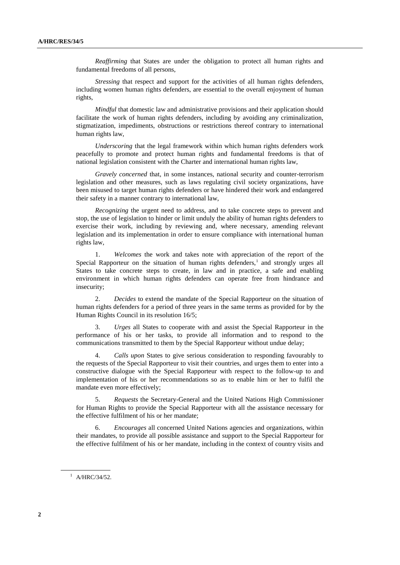*Reaffirming* that States are under the obligation to protect all human rights and fundamental freedoms of all persons,

*Stressing* that respect and support for the activities of all human rights defenders, including women human rights defenders, are essential to the overall enjoyment of human rights,

*Mindful* that domestic law and administrative provisions and their application should facilitate the work of human rights defenders, including by avoiding any criminalization, stigmatization, impediments, obstructions or restrictions thereof contrary to international human rights law,

*Underscoring* that the legal framework within which human rights defenders work peacefully to promote and protect human rights and fundamental freedoms is that of national legislation consistent with the Charter and international human rights law,

*Gravely concerned* that, in some instances, national security and counter-terrorism legislation and other measures, such as laws regulating civil society organizations, have been misused to target human rights defenders or have hindered their work and endangered their safety in a manner contrary to international law,

*Recognizing* the urgent need to address, and to take concrete steps to prevent and stop, the use of legislation to hinder or limit unduly the ability of human rights defenders to exercise their work, including by reviewing and, where necessary, amending relevant legislation and its implementation in order to ensure compliance with international human rights law,

1. *Welcomes* the work and takes note with appreciation of the report of the Special Rapporteur on the situation of human rights defenders, $<sup>1</sup>$  and strongly urges all</sup> States to take concrete steps to create, in law and in practice, a safe and enabling environment in which human rights defenders can operate free from hindrance and insecurity;

2. *Decides* to extend the mandate of the Special Rapporteur on the situation of human rights defenders for a period of three years in the same terms as provided for by the Human Rights Council in its resolution 16/5;

3. *Urges* all States to cooperate with and assist the Special Rapporteur in the performance of his or her tasks, to provide all information and to respond to the communications transmitted to them by the Special Rapporteur without undue delay;

4. *Calls upon* States to give serious consideration to responding favourably to the requests of the Special Rapporteur to visit their countries, and urges them to enter into a constructive dialogue with the Special Rapporteur with respect to the follow-up to and implementation of his or her recommendations so as to enable him or her to fulfil the mandate even more effectively;

5. *Requests* the Secretary-General and the United Nations High Commissioner for Human Rights to provide the Special Rapporteur with all the assistance necessary for the effective fulfilment of his or her mandate;

6. *Encourages* all concerned United Nations agencies and organizations, within their mandates, to provide all possible assistance and support to the Special Rapporteur for the effective fulfilment of his or her mandate, including in the context of country visits and

 $1$  A/HRC/34/52.